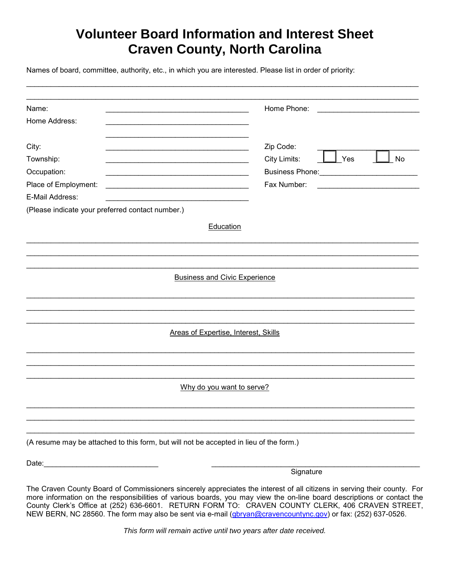## **Volunteer Board Information and Interest Sheet Craven County, North Carolina**

\_\_\_\_\_\_\_\_\_\_\_\_\_\_\_\_\_\_\_\_\_\_\_\_\_\_\_\_\_\_\_\_\_\_\_\_\_\_\_\_\_\_\_\_\_\_\_\_\_\_\_\_\_\_\_\_\_\_\_\_\_\_\_\_\_\_\_\_\_\_\_\_\_\_\_\_\_\_\_\_\_\_\_\_\_\_\_\_\_\_\_\_\_\_\_\_

Names of board, committee, authority, etc., in which you are interested. Please list in order of priority:

| Name:                                                                                                                                        | Home Phone:<br><u> 1980 - Jan Barbarat, manala</u> |
|----------------------------------------------------------------------------------------------------------------------------------------------|----------------------------------------------------|
| Home Address:                                                                                                                                |                                                    |
|                                                                                                                                              |                                                    |
| City:                                                                                                                                        | Zip Code:                                          |
| Township:                                                                                                                                    | City Limits:<br>Yes<br>No                          |
| Occupation:                                                                                                                                  | <b>Business Phone: Example 2014</b>                |
| Place of Employment:<br><u> 1989 - Johann John Stone, markin film yn y brening yn y brening yn y brening y brening yn y brening yn y bre</u> | Fax Number:                                        |
| E-Mail Address:                                                                                                                              |                                                    |
| (Please indicate your preferred contact number.)                                                                                             |                                                    |
|                                                                                                                                              | Education                                          |
|                                                                                                                                              |                                                    |
|                                                                                                                                              |                                                    |
|                                                                                                                                              |                                                    |
|                                                                                                                                              | <b>Business and Civic Experience</b>               |
|                                                                                                                                              |                                                    |
|                                                                                                                                              |                                                    |
|                                                                                                                                              |                                                    |
|                                                                                                                                              |                                                    |
|                                                                                                                                              | <b>Areas of Expertise, Interest, Skills</b>        |
|                                                                                                                                              |                                                    |
|                                                                                                                                              |                                                    |
|                                                                                                                                              |                                                    |
|                                                                                                                                              | Why do you want to serve?                          |
|                                                                                                                                              |                                                    |
|                                                                                                                                              |                                                    |
|                                                                                                                                              |                                                    |
|                                                                                                                                              |                                                    |
| (A resume may be attached to this form, but will not be accepted in lieu of the form.)                                                       |                                                    |
|                                                                                                                                              |                                                    |
|                                                                                                                                              | Signature                                          |

The Craven County Board of Commissioners sincerely appreciates the interest of all citizens in serving their county. For more information on the responsibilities of various boards, you may view the on-line board descriptions or contact the County Clerk's Office at (252) 636-6601. RETURN FORM TO: CRAVEN COUNTY CLERK, 406 CRAVEN STREET, NEW BERN, NC 28560. The form may also be sent via e-mail [\(gbryan@cravencountync.gov\)](mailto:gbryan@cravencountync.gov) or fax: (252) 637-0526.

*This form will remain active until two years after date received.*